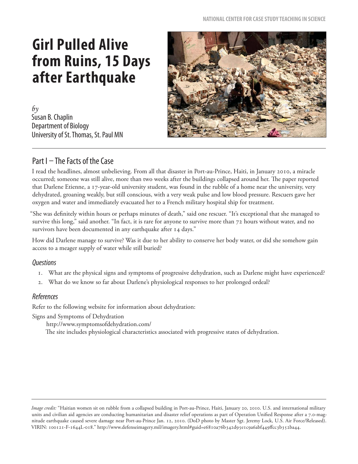# **Girl Pulled Alive from Ruins, 15 Days after Earthquake**

 $b<sub>y</sub>$ Susan B. Chaplin Department of Biology University of St. Thomas, St. Paul MN



## Part I – The Facts of the Case

I read the headlines, almost unbelieving. From all that disaster in Port-au-Prince, Haiti, in January 2010, a miracle occurred; someone was still alive, more than two weeks after the buildings collapsed around her. The paper reported that Darlene Etienne, a 17-year-old university student, was found in the rubble of a home near the university, very dehydrated, groaning weakly, but still conscious, with a very weak pulse and low blood pressure. Rescuers gave her oxygen and water and immediately evacuated her to a French military hospital ship for treatment.

"She was definitely within hours or perhaps minutes of death," said one rescuer. "It's exceptional that she managed to survive this long," said another. "In fact, it is rare for anyone to survive more than 72 hours without water, and no survivors have been documented in any earthquake after 14 days."

How did Darlene manage to survive? Was it due to her ability to conserve her body water, or did she somehow gain access to a meager supply of water while still buried?

#### **Questions**

- 1. What are the physical signs and symptoms of progressive dehydration, such as Darlene might have experienced?
- 2. What do we know so far about Darlene's physiological responses to her prolonged ordeal?

#### References

Refer to the following website for information about dehydration:

Signs and Symptoms of Dehydration

http://www.symptomsofdehydration.com/

The site includes physiological characteristics associated with progressive states of dehydration.

*Image credit:* "Haitian women sit on rubble from a collapsed building in Port-au-Prince, Haiti, January 20, 2010. U.S. and international military units and civilian aid agencies are conducting humanitarian and disaster relief operations as part of Operation Unified Response after a 7.0-magnitude earthquake caused severe damage near Port-au-Prince Jan. 12, 2010. (DoD photo by Master Sgt. Jeremy Lock, U.S. Air Force/Released). VIRIN: 100121-F-1644L-018." http://www.defenseimagery.mil/imagery.html#guid=e6810a76b342d95e1c9a6abf449ffcc3b352ba44.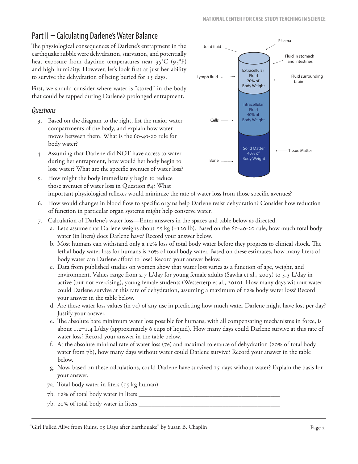# Part II – Calculating Darlene's Water Balance

The physiological consequences of Darlene's entrapment in the earthquake rubble were dehydration, starvation, and potentially heat exposure from daytime temperatures near 35°C (95°F) and high humidity. However, let's look first at just her ability to survive the dehydration of being buried for 15 days.

First, we should consider where water is "stored" in the body that could be tapped during Darlene's prolonged entrapment.

## Questions

- 3. Based on the diagram to the right, list the major water compartments of the body, and explain how water moves between them. What is the 60-40-20 rule for body water?
- 4. Assuming that Darlene did NOT have access to water during her entrapment, how would her body begin to lose water? What are the specific avenues of water loss?
- 5. How might the body immediately begin to reduce those avenues of water loss in Question #4? What important physiological reflexes would minimize the rate of water loss from those specific avenues?
- 6. How would changes in blood flow to specific organs help Darlene resist dehydration? Consider how reduction of function in particular organ systems might help conserve water.
- 7. Calculation of Darlene's water loss—Enter answers in the spaces and table below as directed.
	- a. Let's assume that Darlene weighs about 55 kg (~120 lb). Based on the 60-40-20 rule, how much total body water (in liters) does Darlene have? Record your answer below.
	- b. Most humans can withstand only a 12% loss of total body water before they progress to clinical shock. The lethal body water loss for humans is 20% of total body water. Based on these estimates, how many liters of body water can Darlene afford to lose? Record your answer below.
	- c. Data from published studies on women show that water loss varies as a function of age, weight, and environment. Values range from 2.7 L/day for young female adults (Sawha et al., 2005) to 3.3 L/day in active (but not exercising), young female students (Westerterp et al., 2010). How many days without water could Darlene survive at this rate of dehydration, assuming a maximum of 12% body water loss? Record your answer in the table below.
	- d. Are these water loss values (in 7c) of any use in predicting how much water Darlene might have lost per day? Justify your answer.
	- e. The absolute bare minimum water loss possible for humans, with all compensating mechanisms in force, is about 1.2–1.4 L/day (approximately 6 cups of liquid). How many days could Darlene survive at this rate of water loss? Record your answer in the table below.
	- f. At the absolute minimal rate of water loss (7e) and maximal tolerance of dehydration (20% of total body water from 7b), how many days without water could Darlene survive? Record your answer in the table below.
	- g. Now, based on these calculations, could Darlene have survived 15 days without water? Explain the basis for your answer.
	- 7a. Total body water in liters (55 kg human)\_\_\_\_\_\_\_\_\_\_\_\_\_\_\_\_\_\_\_\_\_\_\_\_\_\_\_\_\_\_\_\_\_\_\_\_\_\_
	- 7b. 12% of total body water in liters \_\_\_\_\_\_\_\_\_\_\_\_\_\_\_\_\_\_\_\_\_\_\_\_\_\_\_\_\_\_\_\_\_\_\_\_\_\_\_\_\_\_\_\_
	- 7b. 20% of total body water in liters  $\_\_$

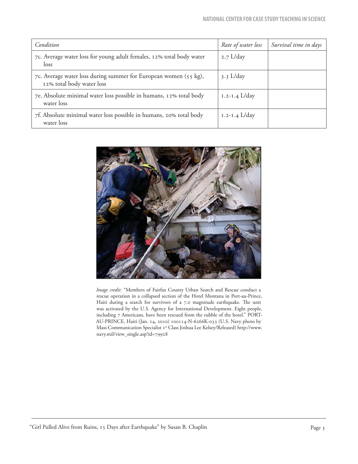| Condition                                                                                     | Rate of water loss | Survival time in days |
|-----------------------------------------------------------------------------------------------|--------------------|-----------------------|
| 7c. Average water loss for young adult females, 12% total body water<br>loss                  | $2.7$ L/day        |                       |
| 7c. Average water loss during summer for European women (55 kg),<br>12% total body water loss | $3.3$ L/day        |                       |
| 7e. Absolute minimal water loss possible in humans, 12% total body<br>water loss              | $1.2 - 1.4$ L/day  |                       |
| 7f. Absolute minimal water loss possible in humans, 20% total body<br>water loss              | $1.2 - 1.4$ L/day  |                       |



*Image credit:* "Members of Fairfax County Urban Search and Rescue conduct a rescue operation in a collapsed section of the Hotel Montana in Port-au-Prince, Haiti during a search for survivors of a 7.0 magnitude earthquake. The unit was activated by the U.S. Agency for International Development. Eight people, including 7 Americans, have been rescued from the rubble of the hotel." PORT-AU-PRINCE, Haiti (Jan. 14, 2010) 100114-N-6266K-033 (U.S. Navy photo by Mass Communication Specialist 1st Class Joshua Lee Kelsey/Released) http://www. navy.mil/view\_single.asp?id=79928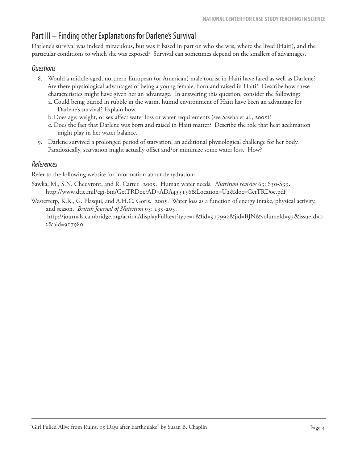## Part III – Finding other Explanations for Darlene's Survival

Darlene's survival was indeed miraculous, but was it based in part on who she was, where she lived (Haiti), and the particular conditions to which she was exposed? Survival can sometimes depend on the smallest of advantages.

#### **Questions**

- 8. Would a middle-aged, northern European (or American) male tourist in Haiti have fared as well as Darlene? Are there physiological advantages of being a young female, born and raised in Haiti? Describe how these characteristics might have given her an advantage. In answering this question, consider the following:
	- a. Could being buried in rubble in the warm, humid environment of Haiti have been an advantage for Darlene's survival? Explain how.
	- b. Does age, weight, or sex affect water loss or water requirements (see Sawha et al., 2005)?
	- c. Does the fact that Darlene was born and raised in Haiti matter? Describe the role that heat acclimation might play in her water balance.
- 9. Darlene survived a prolonged period of starvation, an additional physiological challenge for her body. Paradoxically, starvation might actually offset and/or minimize some water loss. How?

#### References

Refer to the following website for information about dehydration:

- Sawka, M., S.N. Cheuvront, and R. Carter. 2005. Human water needs. *Nutrition reviews* 63: S30-S39. http://www.dtic.mil/cgi-bin/GetTRDoc?AD=ADA435156&Location=U2&doc=GetTRDoc.pdf
- Westerterp, K.R., G. Plasqui, and A.H.C. Goris. 2005. Water loss as a function of energy intake, physical activity, and season. *British Journal of Nutrition* 93: 199-203. http://journals.cambridge.org/action/displayFulltext?type=1&fi d=917992&jid=BJN&volumeId=93&issueId=0 2&aid=917980